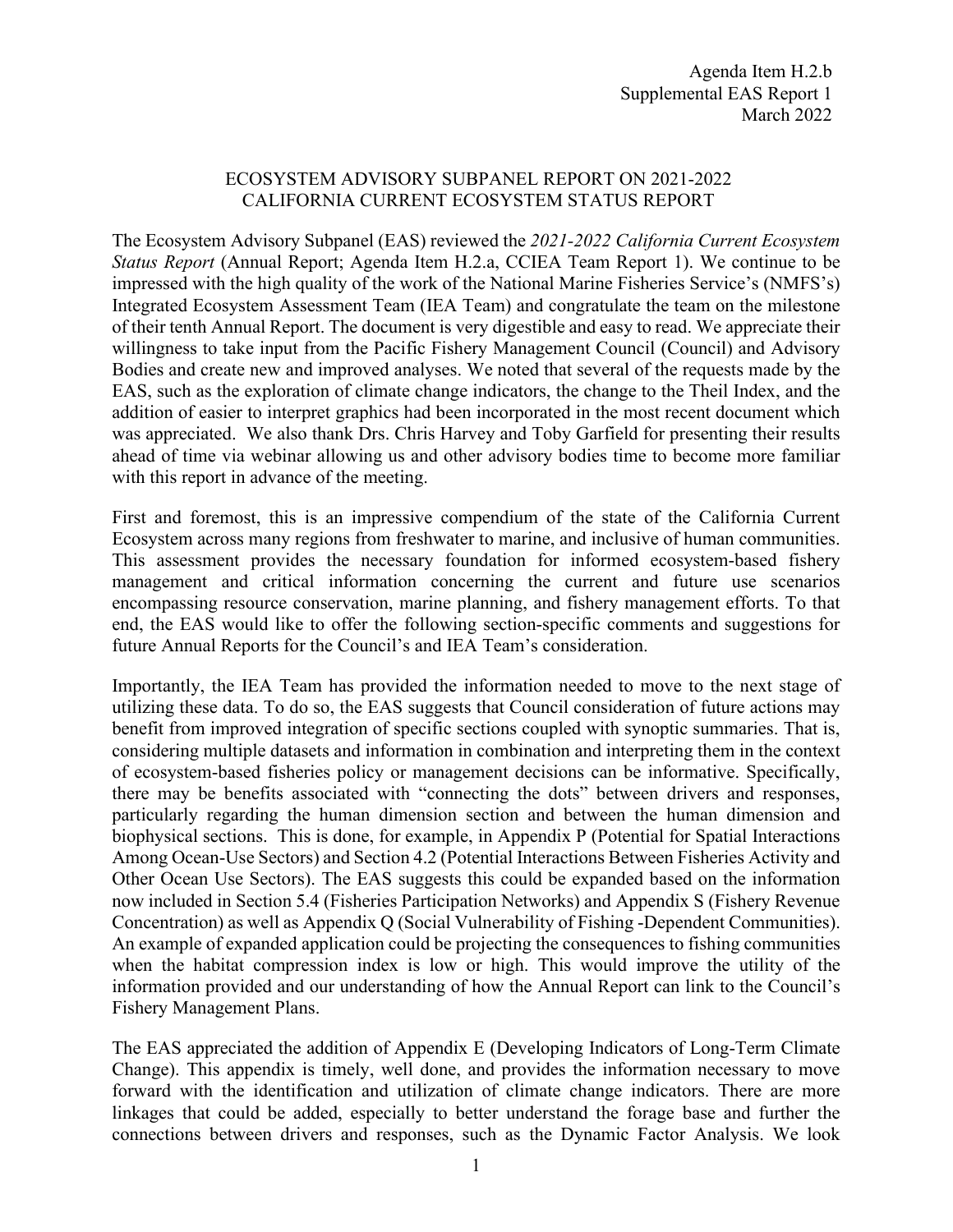## ECOSYSTEM ADVISORY SUBPANEL REPORT ON 2021-2022 CALIFORNIA CURRENT ECOSYSTEM STATUS REPORT

The Ecosystem Advisory Subpanel (EAS) reviewed the *2021-2022 California Current Ecosystem Status Report* (Annual Report; Agenda Item H.2.a, CCIEA Team Report 1). We continue to be impressed with the high quality of the work of the National Marine Fisheries Service's (NMFS's) Integrated Ecosystem Assessment Team (IEA Team) and congratulate the team on the milestone of their tenth Annual Report. The document is very digestible and easy to read. We appreciate their willingness to take input from the Pacific Fishery Management Council (Council) and Advisory Bodies and create new and improved analyses. We noted that several of the requests made by the EAS, such as the exploration of climate change indicators, the change to the Theil Index, and the addition of easier to interpret graphics had been incorporated in the most recent document which was appreciated. We also thank Drs. Chris Harvey and Toby Garfield for presenting their results ahead of time via webinar allowing us and other advisory bodies time to become more familiar with this report in advance of the meeting.

First and foremost, this is an impressive compendium of the state of the California Current Ecosystem across many regions from freshwater to marine, and inclusive of human communities. This assessment provides the necessary foundation for informed ecosystem-based fishery management and critical information concerning the current and future use scenarios encompassing resource conservation, marine planning, and fishery management efforts. To that end, the EAS would like to offer the following section-specific comments and suggestions for future Annual Reports for the Council's and IEA Team's consideration.

Importantly, the IEA Team has provided the information needed to move to the next stage of utilizing these data. To do so, the EAS suggests that Council consideration of future actions may benefit from improved integration of specific sections coupled with synoptic summaries. That is, considering multiple datasets and information in combination and interpreting them in the context of ecosystem-based fisheries policy or management decisions can be informative. Specifically, there may be benefits associated with "connecting the dots" between drivers and responses, particularly regarding the human dimension section and between the human dimension and biophysical sections. This is done, for example, in Appendix P (Potential for Spatial Interactions Among Ocean-Use Sectors) and Section 4.2 (Potential Interactions Between Fisheries Activity and Other Ocean Use Sectors). The EAS suggests this could be expanded based on the information now included in Section 5.4 (Fisheries Participation Networks) and Appendix S (Fishery Revenue Concentration) as well as Appendix Q (Social Vulnerability of Fishing -Dependent Communities). An example of expanded application could be projecting the consequences to fishing communities when the habitat compression index is low or high. This would improve the utility of the information provided and our understanding of how the Annual Report can link to the Council's Fishery Management Plans.

The EAS appreciated the addition of Appendix E (Developing Indicators of Long-Term Climate Change). This appendix is timely, well done, and provides the information necessary to move forward with the identification and utilization of climate change indicators. There are more linkages that could be added, especially to better understand the forage base and further the connections between drivers and responses, such as the Dynamic Factor Analysis. We look